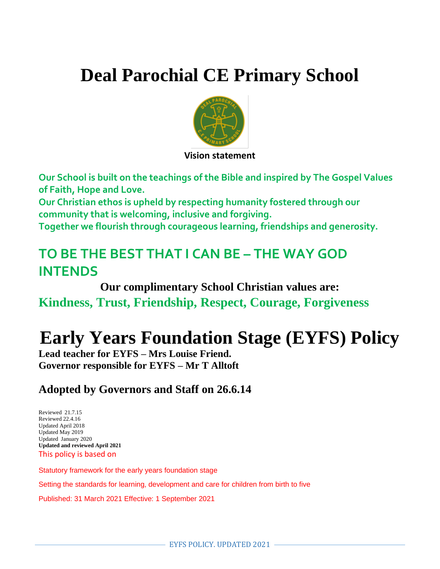# **Deal Parochial CE Primary School**



**Vision statement** 

**Our School is built on the teachings of the Bible and inspired by The Gospel Values of Faith, Hope and Love.** 

**Our Christian ethos is upheld by respecting humanity fostered through our community that is welcoming, inclusive and forgiving.**

**Together we flourish through courageous learning, friendships and generosity.**

## **TO BE THE BEST THAT I CAN BE – THE WAY GOD INTENDS**

**Our complimentary School Christian values are: Kindness, Trust, Friendship, Respect, Courage, Forgiveness**

## **Early Years Foundation Stage (EYFS) Policy**

**Lead teacher for EYFS – Mrs Louise Friend. Governor responsible for EYFS – Mr T Alltoft**

### **Adopted by Governors and Staff on 26.6.14**

Reviewed 21.7.15 Reviewed 22.4.16 Updated April 2018 Updated May 2019 Updated January 2020 **Updated and reviewed April 2021** This policy is based on

Statutory framework for the early years foundation stage

Setting the standards for learning, development and care for children from birth to five

Published: 31 March 2021 Effective: 1 September 2021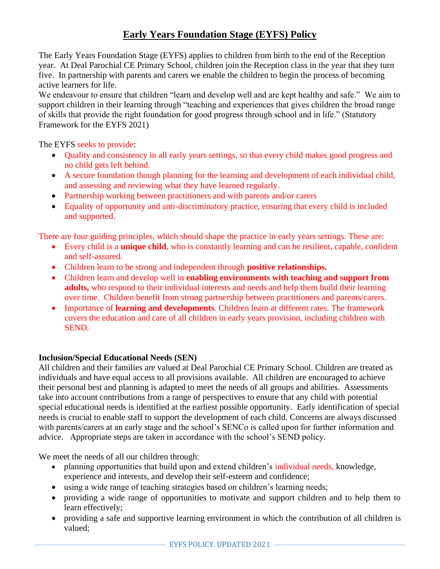### **Early Years Foundation Stage (EYFS) Policy**

The Early Years Foundation Stage (EYFS) applies to children from birth to the end of the Reception year. At Deal Parochial CE Primary School, children join the Reception class in the year that they turn five. In partnership with parents and carers we enable the children to begin the process of becoming active learners for life.

We endeavour to ensure that children "learn and develop well and are kept healthy and safe." We aim to support children in their learning through "teaching and experiences that gives children the broad range of skills that provide the right foundation for good progress through school and in life." (Statutory Framework for the EYFS 2021)

The EYFS seeks to provide:

- Quality and consistency in all early years settings, so that every child makes good progress and no child gets left behind.
- A secure foundation though planning for the learning and development of each individual child, and assessing and reviewing what they have learned regularly.
- Partnership working between practitioners and with parents and/or carers
- Equality of opportunity and anti-discriminatory practice, ensuring that every child is included and supported.

There are four guiding principles, which should shape the practice in early years settings. These are:

- Every child is a **unique child**, who is constantly learning and can be resilient, capable, confident and self-assured.
- Children learn to be strong and independent through **positive relationships.**
- Children learn and develop well in **enabling environments with teaching and support from adults,** who respond to their individual interests and needs and help them build their learning over time. Children benefit from strong partnership between practitioners and parents/carers.
- Importance of **learning and developments**. Children learn at different rates. The framework covers the education and care of all children in early years provision, including children with SEND.

#### **Inclusion/Special Educational Needs (SEN)**

All children and their families are valued at Deal Parochial CE Primary School. Children are treated as individuals and have equal access to all provisions available. All children are encouraged to achieve their personal best and planning is adapted to meet the needs of all groups and abilities. Assessments take into account contributions from a range of perspectives to ensure that any child with potential special educational needs is identified at the earliest possible opportunity. Early identification of special needs is crucial to enable staff to support the development of each child. Concerns are always discussed with parents/carers at an early stage and the school's SENCo is called upon for further information and advice. Appropriate steps are taken in accordance with the school's SEND policy.

We meet the needs of all our children through:

- planning opportunities that build upon and extend children's individual needs, knowledge, experience and interests, and develop their self-esteem and confidence;
- using a wide range of teaching strategies based on children's learning needs;
- providing a wide range of opportunities to motivate and support children and to help them to learn effectively;
- providing a safe and supportive learning environment in which the contribution of all children is valued;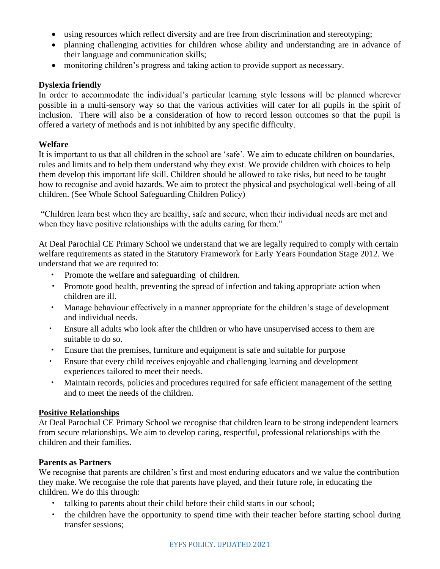- using resources which reflect diversity and are free from discrimination and stereotyping;
- planning challenging activities for children whose ability and understanding are in advance of their language and communication skills;
- monitoring children's progress and taking action to provide support as necessary.

#### **Dyslexia friendly**

In order to accommodate the individual's particular learning style lessons will be planned wherever possible in a multi-sensory way so that the various activities will cater for all pupils in the spirit of inclusion. There will also be a consideration of how to record lesson outcomes so that the pupil is offered a variety of methods and is not inhibited by any specific difficulty.

#### **Welfare**

It is important to us that all children in the school are 'safe'. We aim to educate children on boundaries, rules and limits and to help them understand why they exist. We provide children with choices to help them develop this important life skill. Children should be allowed to take risks, but need to be taught how to recognise and avoid hazards. We aim to protect the physical and psychological well-being of all children. (See Whole School Safeguarding Children Policy)

"Children learn best when they are healthy, safe and secure, when their individual needs are met and when they have positive relationships with the adults caring for them."

At Deal Parochial CE Primary School we understand that we are legally required to comply with certain welfare requirements as stated in the Statutory Framework for Early Years Foundation Stage 2012. We understand that we are required to:

- Promote the welfare and safeguarding of children.
- Promote good health, preventing the spread of infection and taking appropriate action when children are ill.
- Manage behaviour effectively in a manner appropriate for the children's stage of development and individual needs.
- Ensure all adults who look after the children or who have unsupervised access to them are suitable to do so.
- Ensure that the premises, furniture and equipment is safe and suitable for purpose
- Ensure that every child receives enjoyable and challenging learning and development experiences tailored to meet their needs.
- Maintain records, policies and procedures required for safe efficient management of the setting and to meet the needs of the children.

#### **Positive Relationships**

At Deal Parochial CE Primary School we recognise that children learn to be strong independent learners from secure relationships. We aim to develop caring, respectful, professional relationships with the children and their families.

#### **Parents as Partners**

We recognise that parents are children's first and most enduring educators and we value the contribution they make. We recognise the role that parents have played, and their future role, in educating the children. We do this through:

- talking to parents about their child before their child starts in our school;
- the children have the opportunity to spend time with their teacher before starting school during transfer sessions;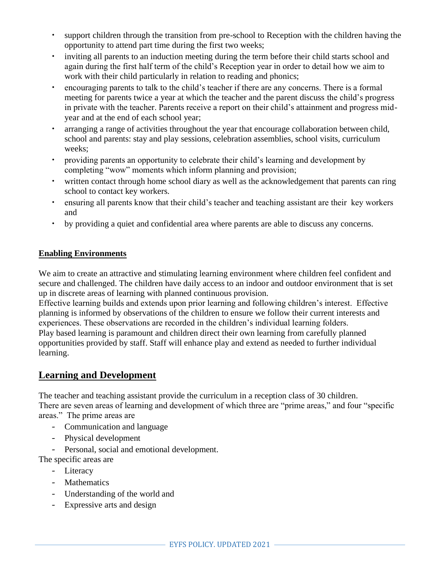- support children through the transition from pre-school to Reception with the children having the opportunity to attend part time during the first two weeks;
- inviting all parents to an induction meeting during the term before their child starts school and again during the first half term of the child's Reception year in order to detail how we aim to work with their child particularly in relation to reading and phonics;
- encouraging parents to talk to the child's teacher if there are any concerns. There is a formal meeting for parents twice a year at which the teacher and the parent discuss the child's progress in private with the teacher. Parents receive a report on their child's attainment and progress midyear and at the end of each school year;
- arranging a range of activities throughout the year that encourage collaboration between child, school and parents: stay and play sessions, celebration assemblies, school visits, curriculum weeks;
- providing parents an opportunity to celebrate their child's learning and development by completing "wow" moments which inform planning and provision;
- written contact through home school diary as well as the acknowledgement that parents can ring school to contact key workers.
- ensuring all parents know that their child's teacher and teaching assistant are their key workers and
- by providing a quiet and confidential area where parents are able to discuss any concerns.

#### **Enabling Environments**

We aim to create an attractive and stimulating learning environment where children feel confident and secure and challenged. The children have daily access to an indoor and outdoor environment that is set up in discrete areas of learning with planned continuous provision.

Effective learning builds and extends upon prior learning and following children's interest. Effective planning is informed by observations of the children to ensure we follow their current interests and experiences. These observations are recorded in the children's individual learning folders. Play based learning is paramount and children direct their own learning from carefully planned opportunities provided by staff. Staff will enhance play and extend as needed to further individual learning.

#### **Learning and Development**

The teacher and teaching assistant provide the curriculum in a reception class of 30 children. There are seven areas of learning and development of which three are "prime areas," and four "specific areas." The prime areas are

- Communication and language
- Physical development

- Personal, social and emotional development.

- The specific areas are
	- Literacy
	- Mathematics
	- Understanding of the world and
	- Expressive arts and design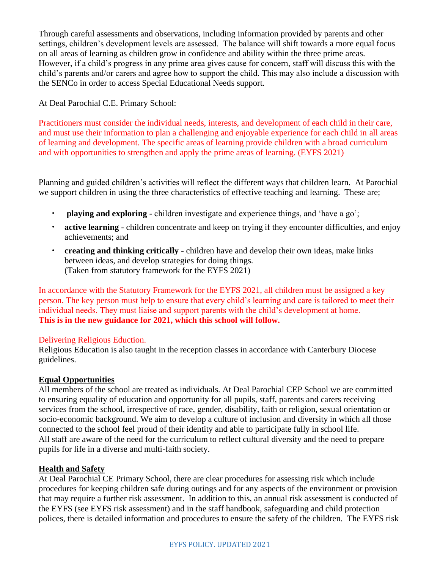Through careful assessments and observations, including information provided by parents and other settings, children's development levels are assessed. The balance will shift towards a more equal focus on all areas of learning as children grow in confidence and ability within the three prime areas. However, if a child's progress in any prime area gives cause for concern, staff will discuss this with the child's parents and/or carers and agree how to support the child. This may also include a discussion with the SENCo in order to access Special Educational Needs support.

At Deal Parochial C.E. Primary School:

Practitioners must consider the individual needs, interests, and development of each child in their care, and must use their information to plan a challenging and enjoyable experience for each child in all areas of learning and development. The specific areas of learning provide children with a broad curriculum and with opportunities to strengthen and apply the prime areas of learning. (EYFS 2021)

Planning and guided children's activities will reflect the different ways that children learn. At Parochial we support children in using the three characteristics of effective teaching and learning. These are;

- **playing and exploring**  children investigate and experience things, and 'have a go';
- **active learning**  children concentrate and keep on trying if they encounter difficulties, and enjoy achievements; and
- **creating and thinking critically**  children have and develop their own ideas, make links between ideas, and develop strategies for doing things. (Taken from statutory framework for the EYFS 2021)

In accordance with the Statutory Framework for the EYFS 2021, all children must be assigned a key person. The key person must help to ensure that every child's learning and care is tailored to meet their individual needs. They must liaise and support parents with the child's development at home. **This is in the new guidance for 2021, which this school will follow.**

#### Delivering Religious Eduction.

Religious Education is also taught in the reception classes in accordance with Canterbury Diocese guidelines.

#### **Equal Opportunities**

All members of the school are treated as individuals. At Deal Parochial CEP School we are committed to ensuring equality of education and opportunity for all pupils, staff, parents and carers receiving services from the school, irrespective of race, gender, disability, faith or religion, sexual orientation or socio-economic background. We aim to develop a culture of inclusion and diversity in which all those connected to the school feel proud of their identity and able to participate fully in school life. All staff are aware of the need for the curriculum to reflect cultural diversity and the need to prepare pupils for life in a diverse and multi-faith society.

#### **Health and Safety**

At Deal Parochial CE Primary School, there are clear procedures for assessing risk which include procedures for keeping children safe during outings and for any aspects of the environment or provision that may require a further risk assessment. In addition to this, an annual risk assessment is conducted of the EYFS (see EYFS risk assessment) and in the staff handbook, safeguarding and child protection polices, there is detailed information and procedures to ensure the safety of the children. The EYFS risk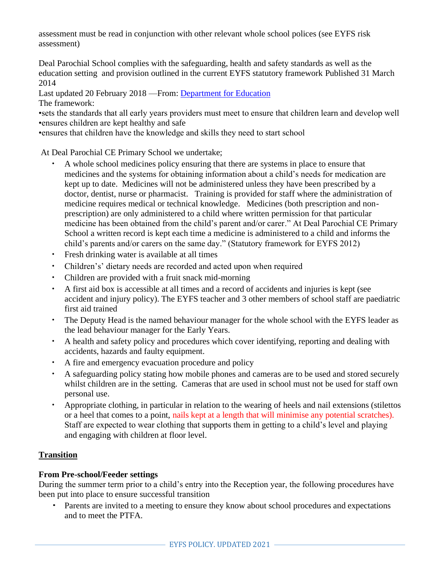assessment must be read in conjunction with other relevant whole school polices (see EYFS risk assessment)

Deal Parochial School complies with the safeguarding, health and safety standards as well as the education setting and provision outlined in the current EYFS statutory framework Published 31 March 2014

Last updated 20 February 2018 —From: [Department for Education](https://www.gov.uk/government/organisations/department-for-education) The framework:

•sets the standards that all early years providers must meet to ensure that children learn and develop well •ensures children are kept healthy and safe

•ensures that children have the knowledge and skills they need to start school

At Deal Parochial CE Primary School we undertake;

- A whole school medicines policy ensuring that there are systems in place to ensure that medicines and the systems for obtaining information about a child's needs for medication are kept up to date. Medicines will not be administered unless they have been prescribed by a doctor, dentist, nurse or pharmacist. Training is provided for staff where the administration of medicine requires medical or technical knowledge. Medicines (both prescription and nonprescription) are only administered to a child where written permission for that particular medicine has been obtained from the child's parent and/or carer." At Deal Parochial CE Primary School a written record is kept each time a medicine is administered to a child and informs the child's parents and/or carers on the same day." (Statutory framework for EYFS 2012)
- Fresh drinking water is available at all times
- Children's' dietary needs are recorded and acted upon when required
- Children are provided with a fruit snack mid-morning
- A first aid box is accessible at all times and a record of accidents and injuries is kept (see accident and injury policy). The EYFS teacher and 3 other members of school staff are paediatric first aid trained
- The Deputy Head is the named behaviour manager for the whole school with the EYFS leader as the lead behaviour manager for the Early Years.
- A health and safety policy and procedures which cover identifying, reporting and dealing with accidents, hazards and faulty equipment.
- A fire and emergency evacuation procedure and policy
- A safeguarding policy stating how mobile phones and cameras are to be used and stored securely whilst children are in the setting. Cameras that are used in school must not be used for staff own personal use.
- Appropriate clothing, in particular in relation to the wearing of heels and nail extensions (stilettos or a heel that comes to a point, nails kept at a length that will minimise any potential scratches). Staff are expected to wear clothing that supports them in getting to a child's level and playing and engaging with children at floor level.

#### **Transition**

#### **From Pre-school/Feeder settings**

During the summer term prior to a child's entry into the Reception year, the following procedures have been put into place to ensure successful transition

**•** Parents are invited to a meeting to ensure they know about school procedures and expectations and to meet the PTFA.